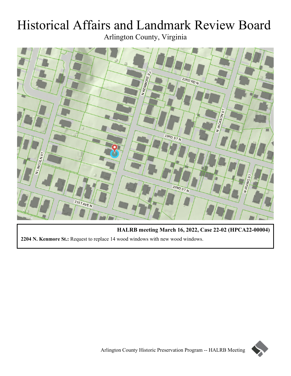# Historical Affairs and Landmark Review Board Arlington County, Virginia



**HALRB meeting March 16, 2022, Case 22-02 (HPCA22-00004) 2204 N. Kenmore St.:** Request to replace 14 wood windows with new wood windows.

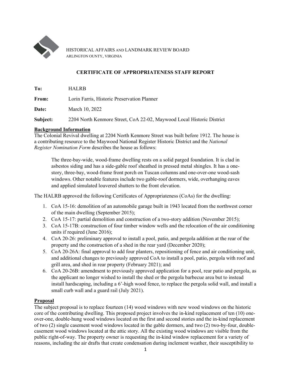

HISTORICAL AFFAIRS AND LANDMARK REVIEW BOARD ARLINGTON OUNTY, VIRGINIA

## **CERTIFICATE OF APPROPRIATENESS STAFF REPORT**

**To:** HALRB

**From:** Lorin Farris, Historic Preservation Planner

**Date:** March 10, 2022

**Subject:** 2204 North Kenmore Street, CoA 22-02, Maywood Local Historic District

## **Background Information**

The Colonial Revival dwelling at 2204 North Kenmore Street was built before 1912. The house is a contributing resource to the Maywood National Register Historic District and the *National Register Nomination Form* describes the house as follows:

The three-bay-wide, wood-frame dwelling rests on a solid parged foundation. It is clad in asbestos siding and has a side-gable roof sheathed in pressed metal shingles. It has a onestory, three-bay, wood-frame front porch on Tuscan columns and one-over-one wood-sash windows. Other notable features include two gable-roof dormers, wide, overhanging eaves and applied simulated louvered shutters to the front elevation.

The HALRB approved the following Certificates of Appropriateness (CoAs) for the dwelling:

- 1. CoA 15-16: demolition of an automobile garage built in 1943 located from the northwest corner of the main dwelling (September 2015);
- 2. CoA 15-17: partial demolition and construction of a two-story addition (November 2015);
- 3. CoA 15-17B: construction of four timber window wells and the relocation of the air conditioning units if required (June 2016);
- 4. CoA 20-26: preliminary approval to install a pool, patio, and pergola addition at the rear of the property and the construction of a shed in the rear yard (December 2020);
- 5. CoA 20-26A: final approval to add four planters, repositioning of fence and air conditioning unit, and additional changes to previously approved CoA to install a pool, patio, pergola with roof and grill area, and shed in rear property (February 2021); and
- 6. CoA 20-26B: amendment to previously approved application for a pool, rear patio and pergola, as the applicant no longer wished to install the shed or the pergola barbecue area but to instead install hardscaping, including a 6'-high wood fence, to replace the pergola solid wall, and install a small curb wall and a guard rail (July 2021).

## **Proposal**

The subject proposal is to replace fourteen (14) wood windows with new wood windows on the historic core of the contributing dwelling. This proposed project involves the in-kind replacement of ten (10) oneover-one, double-hung wood windows located on the first and second stories and the in-kind replacement of two (2) single casement wood windows located in the gable dormers, and two (2) two-by-four, doublecasement wood windows located at the attic story. All the existing wood windows are visible from the public right-of-way. The property owner is requesting the in-kind window replacement for a variety of reasons, including the air drafts that create condensation during inclement weather, their susceptibility to